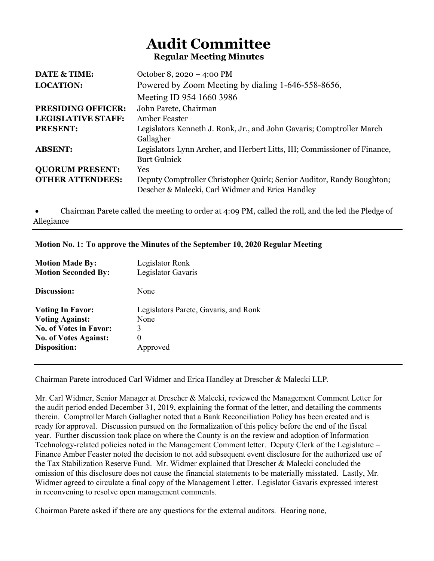# Audit Committee Regular Meeting Minutes

| <b>DATE &amp; TIME:</b>   | October 8, 2020 – 4:00 PM                                                 |
|---------------------------|---------------------------------------------------------------------------|
| <b>LOCATION:</b>          | Powered by Zoom Meeting by dialing 1-646-558-8656,                        |
|                           | Meeting ID 954 1660 3986                                                  |
| <b>PRESIDING OFFICER:</b> | John Parete, Chairman                                                     |
| <b>LEGISLATIVE STAFF:</b> | Amber Feaster                                                             |
| <b>PRESENT:</b>           | Legislators Kenneth J. Ronk, Jr., and John Gavaris; Comptroller March     |
|                           | Gallagher                                                                 |
| <b>ABSENT:</b>            | Legislators Lynn Archer, and Herbert Litts, III; Commissioner of Finance, |
|                           | <b>Burt Gulnick</b>                                                       |
| <b>QUORUM PRESENT:</b>    | <b>Yes</b>                                                                |
| <b>OTHER ATTENDEES:</b>   | Deputy Comptroller Christopher Quirk; Senior Auditor, Randy Boughton;     |
|                           | Descher & Malecki, Carl Widmer and Erica Handley                          |

 Chairman Parete called the meeting to order at 4:09 PM, called the roll, and the led the Pledge of Allegiance

|                 | Motion No. 1: To approve the Minutes of the September 10, 2020 Regular Meeting |
|-----------------|--------------------------------------------------------------------------------|
| Matian Mada Dru | $I_{\text{axialation}}$                                                        |

| <b>NIQUOII MAGE DY.</b><br><b>Motion Seconded By:</b> | Legislator Rollk<br>Legislator Gavaris |
|-------------------------------------------------------|----------------------------------------|
| Discussion:                                           | None                                   |
| <b>Voting In Favor:</b>                               | Legislators Parete, Gavaris, and Ronk  |
| <b>Voting Against:</b>                                | None                                   |
| <b>No. of Votes in Favor:</b>                         |                                        |
| <b>No. of Votes Against:</b>                          | $\theta$                               |
| Disposition:                                          | Approved                               |
|                                                       |                                        |

Chairman Parete introduced Carl Widmer and Erica Handley at Drescher & Malecki LLP.

Mr. Carl Widmer, Senior Manager at Drescher & Malecki, reviewed the Management Comment Letter for the audit period ended December 31, 2019, explaining the format of the letter, and detailing the comments therein. Comptroller March Gallagher noted that a Bank Reconciliation Policy has been created and is ready for approval. Discussion pursued on the formalization of this policy before the end of the fiscal year. Further discussion took place on where the County is on the review and adoption of Information Technology-related policies noted in the Management Comment letter. Deputy Clerk of the Legislature – Finance Amber Feaster noted the decision to not add subsequent event disclosure for the authorized use of the Tax Stabilization Reserve Fund. Mr. Widmer explained that Drescher & Malecki concluded the omission of this disclosure does not cause the financial statements to be materially misstated. Lastly, Mr. Widmer agreed to circulate a final copy of the Management Letter. Legislator Gavaris expressed interest in reconvening to resolve open management comments.

Chairman Parete asked if there are any questions for the external auditors. Hearing none,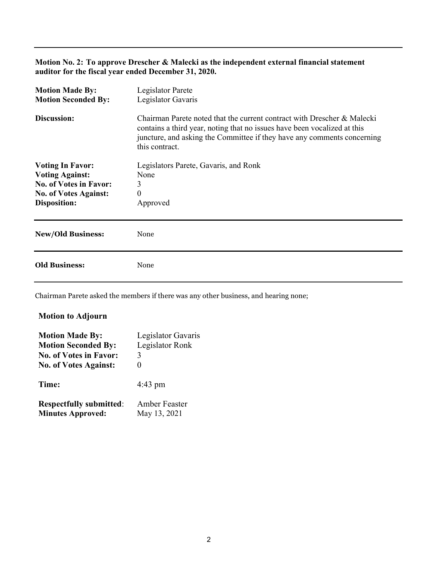#### Motion No. 2: To approve Drescher & Malecki as the independent external financial statement auditor for the fiscal year ended December 31, 2020.

| Legislator Parete<br>Legislator Gavaris                                                                                                                                                                                                          |
|--------------------------------------------------------------------------------------------------------------------------------------------------------------------------------------------------------------------------------------------------|
| Chairman Parete noted that the current contract with Drescher & Malecki<br>contains a third year, noting that no issues have been vocalized at this<br>juncture, and asking the Committee if they have any comments concerning<br>this contract. |
| Legislators Parete, Gavaris, and Ronk                                                                                                                                                                                                            |
| None                                                                                                                                                                                                                                             |
| 3                                                                                                                                                                                                                                                |
| 0                                                                                                                                                                                                                                                |
| Approved                                                                                                                                                                                                                                         |
| None                                                                                                                                                                                                                                             |
| None                                                                                                                                                                                                                                             |
|                                                                                                                                                                                                                                                  |

Chairman Parete asked the members if there was any other business, and hearing none;

#### Motion to Adjourn

| Legislator Gavaris |
|--------------------|
|                    |
|                    |
|                    |
|                    |
|                    |
|                    |
|                    |
|                    |
| Legislator Ronk    |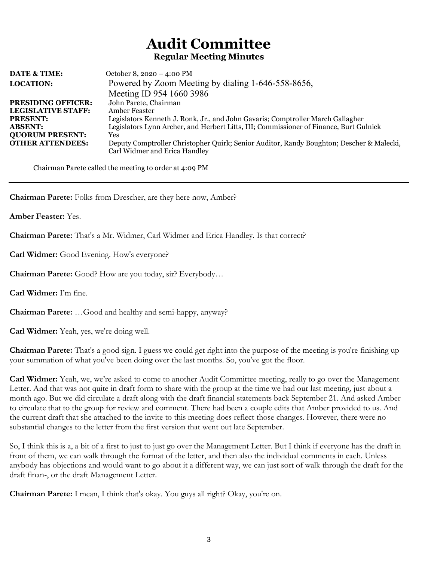# Audit Committee Regular Meeting Minutes

| <b>DATE &amp; TIME:</b>   | October 8, 2020 - 4:00 PM                                                                |
|---------------------------|------------------------------------------------------------------------------------------|
| <b>LOCATION:</b>          | Powered by Zoom Meeting by dialing 1-646-558-8656,                                       |
|                           | Meeting ID 954 1660 3986                                                                 |
| <b>PRESIDING OFFICER:</b> | John Parete, Chairman                                                                    |
| <b>LEGISLATIVE STAFF:</b> | Amber Feaster                                                                            |
| <b>PRESENT:</b>           | Legislators Kenneth J. Ronk, Jr., and John Gavaris; Comptroller March Gallagher          |
| <b>ABSENT:</b>            | Legislators Lynn Archer, and Herbert Litts, III; Commissioner of Finance, Burt Gulnick   |
| <b>QUORUM PRESENT:</b>    | Yes                                                                                      |
| <b>OTHER ATTENDEES:</b>   | Deputy Comptroller Christopher Quirk; Senior Auditor, Randy Boughton; Descher & Malecki, |
|                           | Carl Widmer and Erica Handley                                                            |

Chairman Parete called the meeting to order at 4:09 PM

Chairman Parete: Folks from Drescher, are they here now, Amber?

Amber Feaster: Yes.

Chairman Parete: That's a Mr. Widmer, Carl Widmer and Erica Handley. Is that correct?

Carl Widmer: Good Evening. How's everyone?

Chairman Parete: Good? How are you today, sir? Everybody…

Carl Widmer: I'm fine.

Chairman Parete: …Good and healthy and semi-happy, anyway?

Carl Widmer: Yeah, yes, we're doing well.

Chairman Parete: That's a good sign. I guess we could get right into the purpose of the meeting is you're finishing up your summation of what you've been doing over the last months. So, you've got the floor.

Carl Widmer: Yeah, we, we're asked to come to another Audit Committee meeting, really to go over the Management Letter. And that was not quite in draft form to share with the group at the time we had our last meeting, just about a month ago. But we did circulate a draft along with the draft financial statements back September 21. And asked Amber to circulate that to the group for review and comment. There had been a couple edits that Amber provided to us. And the current draft that she attached to the invite to this meeting does reflect those changes. However, there were no substantial changes to the letter from the first version that went out late September.

So, I think this is a, a bit of a first to just to just go over the Management Letter. But I think if everyone has the draft in front of them, we can walk through the format of the letter, and then also the individual comments in each. Unless anybody has objections and would want to go about it a different way, we can just sort of walk through the draft for the draft finan-, or the draft Management Letter.

Chairman Parete: I mean, I think that's okay. You guys all right? Okay, you're on.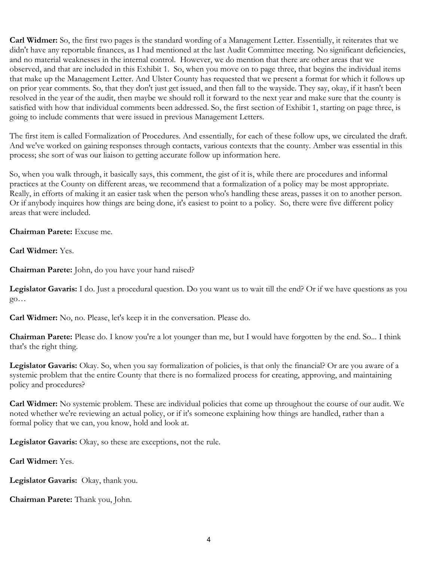Carl Widmer: So, the first two pages is the standard wording of a Management Letter. Essentially, it reiterates that we didn't have any reportable finances, as I had mentioned at the last Audit Committee meeting. No significant deficiencies, and no material weaknesses in the internal control. However, we do mention that there are other areas that we observed, and that are included in this Exhibit 1. So, when you move on to page three, that begins the individual items that make up the Management Letter. And Ulster County has requested that we present a format for which it follows up on prior year comments. So, that they don't just get issued, and then fall to the wayside. They say, okay, if it hasn't been resolved in the year of the audit, then maybe we should roll it forward to the next year and make sure that the county is satisfied with how that individual comments been addressed. So, the first section of Exhibit 1, starting on page three, is going to include comments that were issued in previous Management Letters.

The first item is called Formalization of Procedures. And essentially, for each of these follow ups, we circulated the draft. And we've worked on gaining responses through contacts, various contexts that the county. Amber was essential in this process; she sort of was our liaison to getting accurate follow up information here.

So, when you walk through, it basically says, this comment, the gist of it is, while there are procedures and informal practices at the County on different areas, we recommend that a formalization of a policy may be most appropriate. Really, in efforts of making it an easier task when the person who's handling these areas, passes it on to another person. Or if anybody inquires how things are being done, it's easiest to point to a policy. So, there were five different policy areas that were included.

Chairman Parete: Excuse me.

Carl Widmer: Yes.

Chairman Parete: John, do you have your hand raised?

Legislator Gavaris: I do. Just a procedural question. Do you want us to wait till the end? Or if we have questions as you go…

Carl Widmer: No, no. Please, let's keep it in the conversation. Please do.

**Chairman Parete:** Please do. I know you're a lot younger than me, but I would have forgotten by the end. So... I think that's the right thing.

Legislator Gavaris: Okay. So, when you say formalization of policies, is that only the financial? Or are you aware of a systemic problem that the entire County that there is no formalized process for creating, approving, and maintaining policy and procedures?

**Carl Widmer:** No systemic problem. These are individual policies that come up throughout the course of our audit. We noted whether we're reviewing an actual policy, or if it's someone explaining how things are handled, rather than a formal policy that we can, you know, hold and look at.

Legislator Gavaris: Okay, so these are exceptions, not the rule.

Carl Widmer: Yes.

Legislator Gavaris: Okay, thank you.

Chairman Parete: Thank you, John.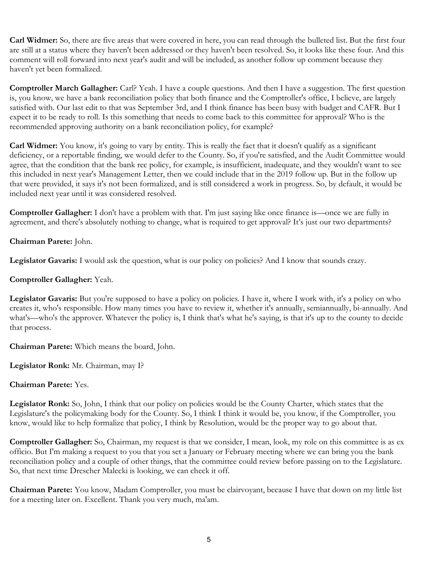Carl Widmer: So, there are five areas that were covered in here, you can read through the bulleted list. But the first four are still at a status where they haven't been addressed or they haven't been resolved. So, it looks like these four. And this comment will roll forward into next year's audit and will be included, as another follow up comment because they haven't yet been formalized.

Comptroller March Gallagher: Carl? Yeah. I have a couple questions. And then I have a suggestion. The first question is, you know, we have a bank reconciliation policy that both finance and the Comptroller's office, I believe, are largely satisfied with. Our last edit to that was September 3rd, and I think finance has been busy with budget and CAFR. But I expect it to be ready to roll. Is this something that needs to come back to this committee for approval? Who is the recommended approving authority on a bank reconciliation policy, for example?

Carl Widmer: You know, it's going to vary by entity. This is really the fact that it doesn't qualify as a significant deficiency, or a reportable finding, we would defer to the County. So, if you're satisfied, and the Audit Committee would agree, that the condition that the bank rec policy, for example, is insufficient, inadequate, and they wouldn't want to see this included in next year's Management Letter, then we could include that in the 2019 follow up. But in the follow up that were provided, it says it's not been formalized, and is still considered a work in progress. So, by default, it would be included next year until it was considered resolved.

Comptroller Gallagher: I don't have a problem with that. I'm just saying like once finance is—once we are fully in agreement, and there's absolutely nothing to change, what is required to get approval? It's just our two departments?

Chairman Parete: John.

Legislator Gavaris: I would ask the question, what is our policy on policies? And I know that sounds crazy.

## Comptroller Gallagher: Yeah.

Legislator Gavaris: But you're supposed to have a policy on policies. I have it, where I work with, it's a policy on who creates it, who's responsible. How many times you have to review it, whether it's annually, semiannually, bi-annually. And what's—who's the approver. Whatever the policy is, I think that's what he's saying, is that it's up to the county to decide that process.

Chairman Parete: Which means the board, John.

Legislator Ronk: Mr. Chairman, may I?

Chairman Parete: Yes.

Legislator Ronk: So, John, I think that our policy on policies would be the County Charter, which states that the Legislature's the policymaking body for the County. So, I think I think it would be, you know, if the Comptroller, you know, would like to help formalize that policy, I think by Resolution, would be the proper way to go about that.

Comptroller Gallagher: So, Chairman, my request is that we consider, I mean, look, my role on this committee is as ex officio. But I'm making a request to you that you set a January or February meeting where we can bring you the bank reconciliation policy and a couple of other things, that the committee could review before passing on to the Legislature. So, that next time Drescher Malecki is looking, we can check it off.

Chairman Parete: You know, Madam Comptroller, you must be clairvoyant, because I have that down on my little list for a meeting later on. Excellent. Thank you very much, ma'am.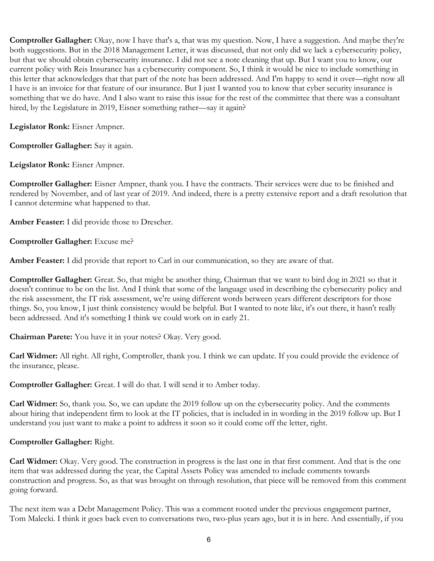Comptroller Gallagher: Okay, now I have that's a, that was my question. Now, I have a suggestion. And maybe they're both suggestions. But in the 2018 Management Letter, it was discussed, that not only did we lack a cybersecurity policy, but that we should obtain cybersecurity insurance. I did not see a note cleaning that up. But I want you to know, our current policy with Reis Insurance has a cybersecurity component. So, I think it would be nice to include something in this letter that acknowledges that that part of the note has been addressed. And I'm happy to send it over—right now all I have is an invoice for that feature of our insurance. But I just I wanted you to know that cyber security insurance is something that we do have. And I also want to raise this issue for the rest of the committee that there was a consultant hired, by the Legislature in 2019, Eisner something rather—say it again?

Legislator Ronk: Eisner Ampner.

Comptroller Gallagher: Say it again.

Leigslator Ronk: Eisner Ampner.

Comptroller Gallagher: Eisner Ampner, thank you. I have the contracts. Their services were due to be finished and rendered by November, and of last year of 2019. And indeed, there is a pretty extensive report and a draft resolution that I cannot determine what happened to that.

Amber Feaster: I did provide those to Drescher.

Comptroller Gallagher: Excuse me?

Amber Feaster: I did provide that report to Carl in our communication, so they are aware of that.

Comptroller Gallagher: Great. So, that might be another thing, Chairman that we want to bird dog in 2021 so that it doesn't continue to be on the list. And I think that some of the language used in describing the cybersecurity policy and the risk assessment, the IT risk assessment, we're using different words between years different descriptors for those things. So, you know, I just think consistency would be helpful. But I wanted to note like, it's out there, it hasn't really been addressed. And it's something I think we could work on in early 21.

Chairman Parete: You have it in your notes? Okay. Very good.

Carl Widmer: All right. All right, Comptroller, thank you. I think we can update. If you could provide the evidence of the insurance, please.

Comptroller Gallagher: Great. I will do that. I will send it to Amber today.

**Carl Widmer:** So, thank you. So, we can update the 2019 follow up on the cybersecurity policy. And the comments about hiring that independent firm to look at the IT policies, that is included in in wording in the 2019 follow up. But I understand you just want to make a point to address it soon so it could come off the letter, right.

## Comptroller Gallagher: Right.

Carl Widmer: Okay. Very good. The construction in progress is the last one in that first comment. And that is the one item that was addressed during the year, the Capital Assets Policy was amended to include comments towards construction and progress. So, as that was brought on through resolution, that piece will be removed from this comment going forward.

The next item was a Debt Management Policy. This was a comment rooted under the previous engagement partner, Tom Malecki. I think it goes back even to conversations two, two-plus years ago, but it is in here. And essentially, if you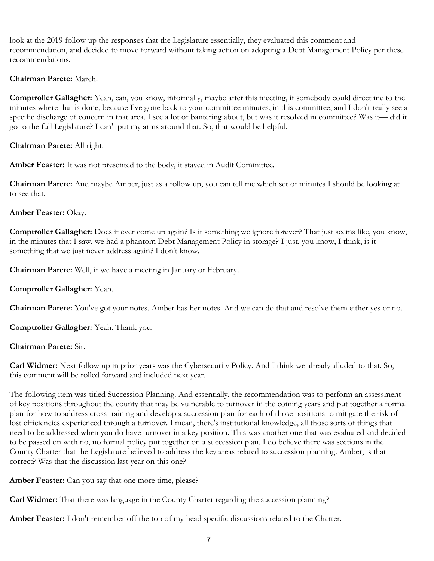look at the 2019 follow up the responses that the Legislature essentially, they evaluated this comment and recommendation, and decided to move forward without taking action on adopting a Debt Management Policy per these recommendations.

## Chairman Parete: March.

Comptroller Gallagher: Yeah, can, you know, informally, maybe after this meeting, if somebody could direct me to the minutes where that is done, because I've gone back to your committee minutes, in this committee, and I don't really see a specific discharge of concern in that area. I see a lot of bantering about, but was it resolved in committee? Was it— did it go to the full Legislature? I can't put my arms around that. So, that would be helpful.

# Chairman Parete: All right.

Amber Feaster: It was not presented to the body, it stayed in Audit Committee.

Chairman Parete: And maybe Amber, just as a follow up, you can tell me which set of minutes I should be looking at to see that.

# Amber Feaster: Okay.

Comptroller Gallagher: Does it ever come up again? Is it something we ignore forever? That just seems like, you know, in the minutes that I saw, we had a phantom Debt Management Policy in storage? I just, you know, I think, is it something that we just never address again? I don't know.

Chairman Parete: Well, if we have a meeting in January or February…

# Comptroller Gallagher: Yeah.

Chairman Parete: You've got your notes. Amber has her notes. And we can do that and resolve them either yes or no.

Comptroller Gallagher: Yeah. Thank you.

# Chairman Parete: Sir.

Carl Widmer: Next follow up in prior years was the Cybersecurity Policy. And I think we already alluded to that. So, this comment will be rolled forward and included next year.

The following item was titled Succession Planning. And essentially, the recommendation was to perform an assessment of key positions throughout the county that may be vulnerable to turnover in the coming years and put together a formal plan for how to address cross training and develop a succession plan for each of those positions to mitigate the risk of lost efficiencies experienced through a turnover. I mean, there's institutional knowledge, all those sorts of things that need to be addressed when you do have turnover in a key position. This was another one that was evaluated and decided to be passed on with no, no formal policy put together on a succession plan. I do believe there was sections in the County Charter that the Legislature believed to address the key areas related to succession planning. Amber, is that correct? Was that the discussion last year on this one?

Amber Feaster: Can you say that one more time, please?

Carl Widmer: That there was language in the County Charter regarding the succession planning?

Amber Feaster: I don't remember off the top of my head specific discussions related to the Charter.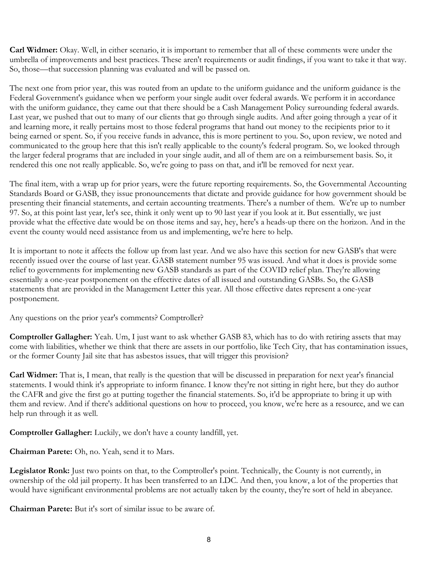Carl Widmer: Okay. Well, in either scenario, it is important to remember that all of these comments were under the umbrella of improvements and best practices. These aren't requirements or audit findings, if you want to take it that way. So, those—that succession planning was evaluated and will be passed on.

The next one from prior year, this was routed from an update to the uniform guidance and the uniform guidance is the Federal Government's guidance when we perform your single audit over federal awards. We perform it in accordance with the uniform guidance, they came out that there should be a Cash Management Policy surrounding federal awards. Last year, we pushed that out to many of our clients that go through single audits. And after going through a year of it and learning more, it really pertains most to those federal programs that hand out money to the recipients prior to it being earned or spent. So, if you receive funds in advance, this is more pertinent to you. So, upon review, we noted and communicated to the group here that this isn't really applicable to the county's federal program. So, we looked through the larger federal programs that are included in your single audit, and all of them are on a reimbursement basis. So, it rendered this one not really applicable. So, we're going to pass on that, and it'll be removed for next year.

The final item, with a wrap up for prior years, were the future reporting requirements. So, the Governmental Accounting Standards Board or GASB, they issue pronouncements that dictate and provide guidance for how government should be presenting their financial statements, and certain accounting treatments. There's a number of them. We're up to number 97. So, at this point last year, let's see, think it only went up to 90 last year if you look at it. But essentially, we just provide what the effective date would be on those items and say, hey, here's a heads-up there on the horizon. And in the event the county would need assistance from us and implementing, we're here to help.

It is important to note it affects the follow up from last year. And we also have this section for new GASB's that were recently issued over the course of last year. GASB statement number 95 was issued. And what it does is provide some relief to governments for implementing new GASB standards as part of the COVID relief plan. They're allowing essentially a one-year postponement on the effective dates of all issued and outstanding GASBs. So, the GASB statements that are provided in the Management Letter this year. All those effective dates represent a one-year postponement.

Any questions on the prior year's comments? Comptroller?

Comptroller Gallagher: Yeah. Um, I just want to ask whether GASB 83, which has to do with retiring assets that may come with liabilities, whether we think that there are assets in our portfolio, like Tech City, that has contamination issues, or the former County Jail site that has asbestos issues, that will trigger this provision?

Carl Widmer: That is, I mean, that really is the question that will be discussed in preparation for next year's financial statements. I would think it's appropriate to inform finance. I know they're not sitting in right here, but they do author the CAFR and give the first go at putting together the financial statements. So, it'd be appropriate to bring it up with them and review. And if there's additional questions on how to proceed, you know, we're here as a resource, and we can help run through it as well.

Comptroller Gallagher: Luckily, we don't have a county landfill, yet.

Chairman Parete: Oh, no. Yeah, send it to Mars.

Legislator Ronk: Just two points on that, to the Comptroller's point. Technically, the County is not currently, in ownership of the old jail property. It has been transferred to an LDC. And then, you know, a lot of the properties that would have significant environmental problems are not actually taken by the county, they're sort of held in abeyance.

Chairman Parete: But it's sort of similar issue to be aware of.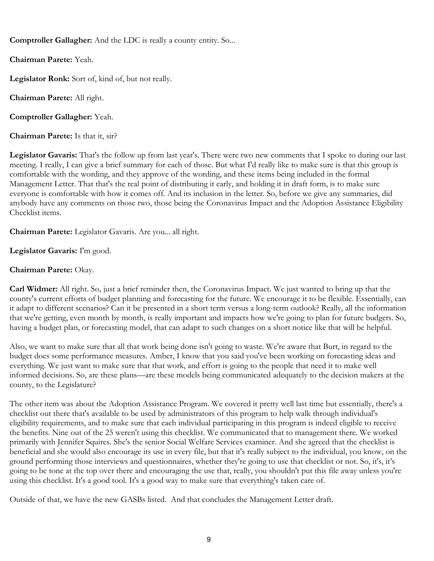Comptroller Gallagher: And the LDC is really a county entity. So...

Chairman Parete: Yeah.

Legislator Ronk: Sort of, kind of, but not really.

Chairman Parete: All right.

Comptroller Gallagher: Yeah.

Chairman Parete: Is that it, sir?

Legislator Gavaris: That's the follow up from last year's. There were two new comments that I spoke to during our last meeting. I really, I can give a brief summary for each of those. But what I'd really like to make sure is that this group is comfortable with the wording, and they approve of the wording, and these items being included in the formal Management Letter. That that's the real point of distributing it early, and holding it in draft form, is to make sure everyone is comfortable with how it comes off. And its inclusion in the letter. So, before we give any summaries, did anybody have any comments on those two, those being the Coronavirus Impact and the Adoption Assistance Eligibility Checklist items.

Chairman Parete: Legislator Gavaris. Are you... all right.

Legislator Gavaris: I'm good.

# Chairman Parete: Okay.

Carl Widmer: All right. So, just a brief reminder then, the Coronavirus Impact. We just wanted to bring up that the county's current efforts of budget planning and forecasting for the future. We encourage it to be flexible. Essentially, can it adapt to different scenarios? Can it be presented in a short term versus a long-term outlook? Really, all the information that we're getting, even month by month, is really important and impacts how we're going to plan for future budgets. So, having a budget plan, or forecasting model, that can adapt to such changes on a short notice like that will be helpful.

Also, we want to make sure that all that work being done isn't going to waste. We're aware that Burt, in regard to the budget does some performance measures. Amber, I know that you said you've been working on forecasting ideas and everything. We just want to make sure that that work, and effort is going to the people that need it to make well informed decisions. So, are these plans—are these models being communicated adequately to the decision makers at the county, to the Legislature?

The other item was about the Adoption Assistance Program. We covered it pretty well last time but essentially, there's a checklist out there that's available to be used by administrators of this program to help walk through individual's eligibility requirements, and to make sure that each individual participating in this program is indeed eligible to receive the benefits. Nine out of the 25 weren't using this checklist. We communicated that to management there. We worked primarily with Jennifer Squires. She's the senior Social Welfare Services examiner. And she agreed that the checklist is beneficial and she would also encourage its use in every file, but that it's really subject to the individual, you know, on the ground performing those interviews and questionnaires, whether they're going to use that checklist or not. So, it's, it's going to be tone at the top over there and encouraging the use that, really, you shouldn't put this file away unless you're using this checklist. It's a good tool. It's a good way to make sure that everything's taken care of.

Outside of that, we have the new GASBs listed. And that concludes the Management Letter draft.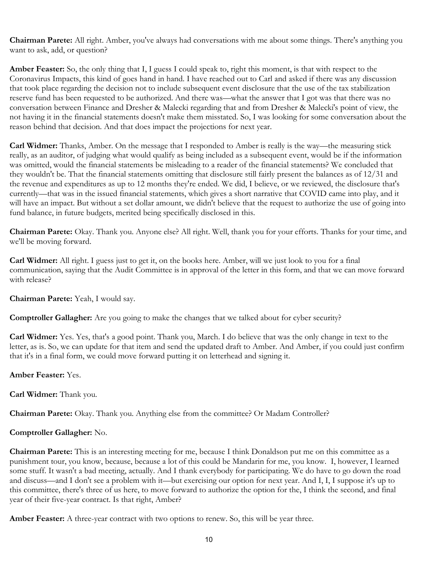Chairman Parete: All right. Amber, you've always had conversations with me about some things. There's anything you want to ask, add, or question?

Amber Feaster: So, the only thing that I, I guess I could speak to, right this moment, is that with respect to the Coronavirus Impacts, this kind of goes hand in hand. I have reached out to Carl and asked if there was any discussion that took place regarding the decision not to include subsequent event disclosure that the use of the tax stabilization reserve fund has been requested to be authorized. And there was—what the answer that I got was that there was no conversation between Finance and Dresher & Malecki regarding that and from Dresher & Malecki's point of view, the not having it in the financial statements doesn't make them misstated. So, I was looking for some conversation about the reason behind that decision. And that does impact the projections for next year.

Carl Widmer: Thanks, Amber. On the message that I responded to Amber is really is the way—the measuring stick really, as an auditor, of judging what would qualify as being included as a subsequent event, would be if the information was omitted, would the financial statements be misleading to a reader of the financial statements? We concluded that they wouldn't be. That the financial statements omitting that disclosure still fairly present the balances as of 12/31 and the revenue and expenditures as up to 12 months they're ended. We did, I believe, or we reviewed, the disclosure that's currently—that was in the issued financial statements, which gives a short narrative that COVID came into play, and it will have an impact. But without a set dollar amount, we didn't believe that the request to authorize the use of going into fund balance, in future budgets, merited being specifically disclosed in this.

Chairman Parete: Okay. Thank you. Anyone else? All right. Well, thank you for your efforts. Thanks for your time, and we'll be moving forward.

Carl Widmer: All right. I guess just to get it, on the books here. Amber, will we just look to you for a final communication, saying that the Audit Committee is in approval of the letter in this form, and that we can move forward with release?

Chairman Parete: Yeah, I would say.

Comptroller Gallagher: Are you going to make the changes that we talked about for cyber security?

Carl Widmer: Yes. Yes, that's a good point. Thank you, March. I do believe that was the only change in text to the letter, as is. So, we can update for that item and send the updated draft to Amber. And Amber, if you could just confirm that it's in a final form, we could move forward putting it on letterhead and signing it.

#### Amber Feaster: Yes.

Carl Widmer: Thank you.

Chairman Parete: Okay. Thank you. Anything else from the committee? Or Madam Controller?

#### Comptroller Gallagher: No.

Chairman Parete: This is an interesting meeting for me, because I think Donaldson put me on this committee as a punishment tour, you know, because, because a lot of this could be Mandarin for me, you know. I, however, I learned some stuff. It wasn't a bad meeting, actually. And I thank everybody for participating. We do have to go down the road and discuss—and I don't see a problem with it—but exercising our option for next year. And I, I, I suppose it's up to this committee, there's three of us here, to move forward to authorize the option for the, I think the second, and final year of their five-year contract. Is that right, Amber?

Amber Feaster: A three-year contract with two options to renew. So, this will be year three.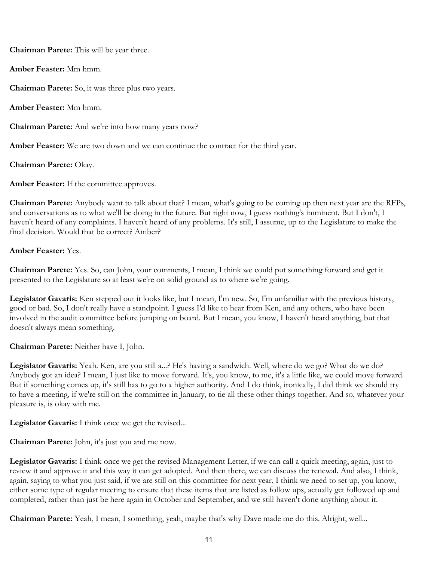Chairman Parete: This will be year three.

Amber Feaster: Mm hmm.

Chairman Parete: So, it was three plus two years.

Amber Feaster: Mm hmm.

Chairman Parete: And we're into how many years now?

Amber Feaster: We are two down and we can continue the contract for the third year.

Chairman Parete: Okay.

Amber Feaster: If the committee approves.

Chairman Parete: Anybody want to talk about that? I mean, what's going to be coming up then next year are the RFPs, and conversations as to what we'll be doing in the future. But right now, I guess nothing's imminent. But I don't, I haven't heard of any complaints. I haven't heard of any problems. It's still, I assume, up to the Legislature to make the final decision. Would that be correct? Amber?

#### Amber Feaster: Yes.

Chairman Parete: Yes. So, can John, your comments, I mean, I think we could put something forward and get it presented to the Legislature so at least we're on solid ground as to where we're going.

Legislator Gavaris: Ken stepped out it looks like, but I mean, I'm new. So, I'm unfamiliar with the previous history, good or bad. So, I don't really have a standpoint. I guess I'd like to hear from Ken, and any others, who have been involved in the audit committee before jumping on board. But I mean, you know, I haven't heard anything, but that doesn't always mean something.

Chairman Parete: Neither have I, John.

Legislator Gavaris: Yeah. Ken, are you still a...? He's having a sandwich. Well, where do we go? What do we do? Anybody got an idea? I mean, I just like to move forward. It's, you know, to me, it's a little like, we could move forward. But if something comes up, it's still has to go to a higher authority. And I do think, ironically, I did think we should try to have a meeting, if we're still on the committee in January, to tie all these other things together. And so, whatever your pleasure is, is okay with me.

Legislator Gavaris: I think once we get the revised...

Chairman Parete: John, it's just you and me now.

Legislator Gavaris: I think once we get the revised Management Letter, if we can call a quick meeting, again, just to review it and approve it and this way it can get adopted. And then there, we can discuss the renewal. And also, I think, again, saying to what you just said, if we are still on this committee for next year, I think we need to set up, you know, either some type of regular meeting to ensure that these items that are listed as follow ups, actually get followed up and completed, rather than just be here again in October and September, and we still haven't done anything about it.

Chairman Parete: Yeah, I mean, I something, yeah, maybe that's why Dave made me do this. Alright, well...